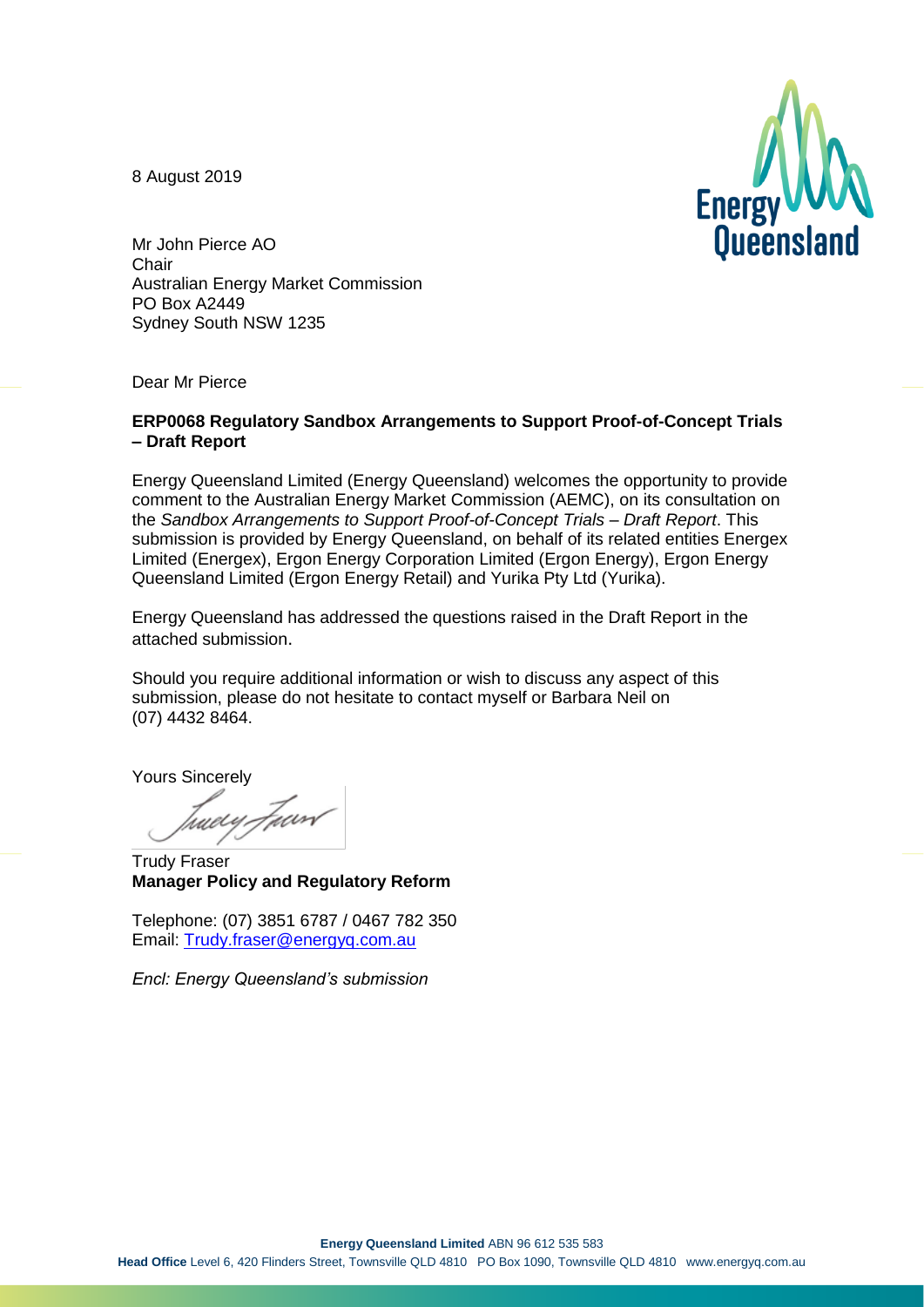8 August 2019



Mr John Pierce AO **Chair** Australian Energy Market Commission PO Box A2449 Sydney South NSW 1235

Dear Mr Pierce

#### **ERP0068 Regulatory Sandbox Arrangements to Support Proof-of-Concept Trials – Draft Report**

Energy Queensland Limited (Energy Queensland) welcomes the opportunity to provide comment to the Australian Energy Market Commission (AEMC), on its consultation on the *Sandbox Arrangements to Support Proof-of-Concept Trials – Draft Report*. This submission is provided by Energy Queensland, on behalf of its related entities Energex Limited (Energex), Ergon Energy Corporation Limited (Ergon Energy), Ergon Energy Queensland Limited (Ergon Energy Retail) and Yurika Pty Ltd (Yurika).

Energy Queensland has addressed the questions raised in the Draft Report in the attached submission.

Should you require additional information or wish to discuss any aspect of this submission, please do not hesitate to contact myself or Barbara Neil on (07) 4432 8464.

Yours Sincerely

tweey.Fuort

Trudy Fraser **Manager Policy and Regulatory Reform**

Telephone: (07) 3851 6787 / 0467 782 350 Email: [Trudy.fraser@energyq.com.au](mailto:Trudy.fraser@energyq.com.au)

*Encl: Energy Queensland's submission*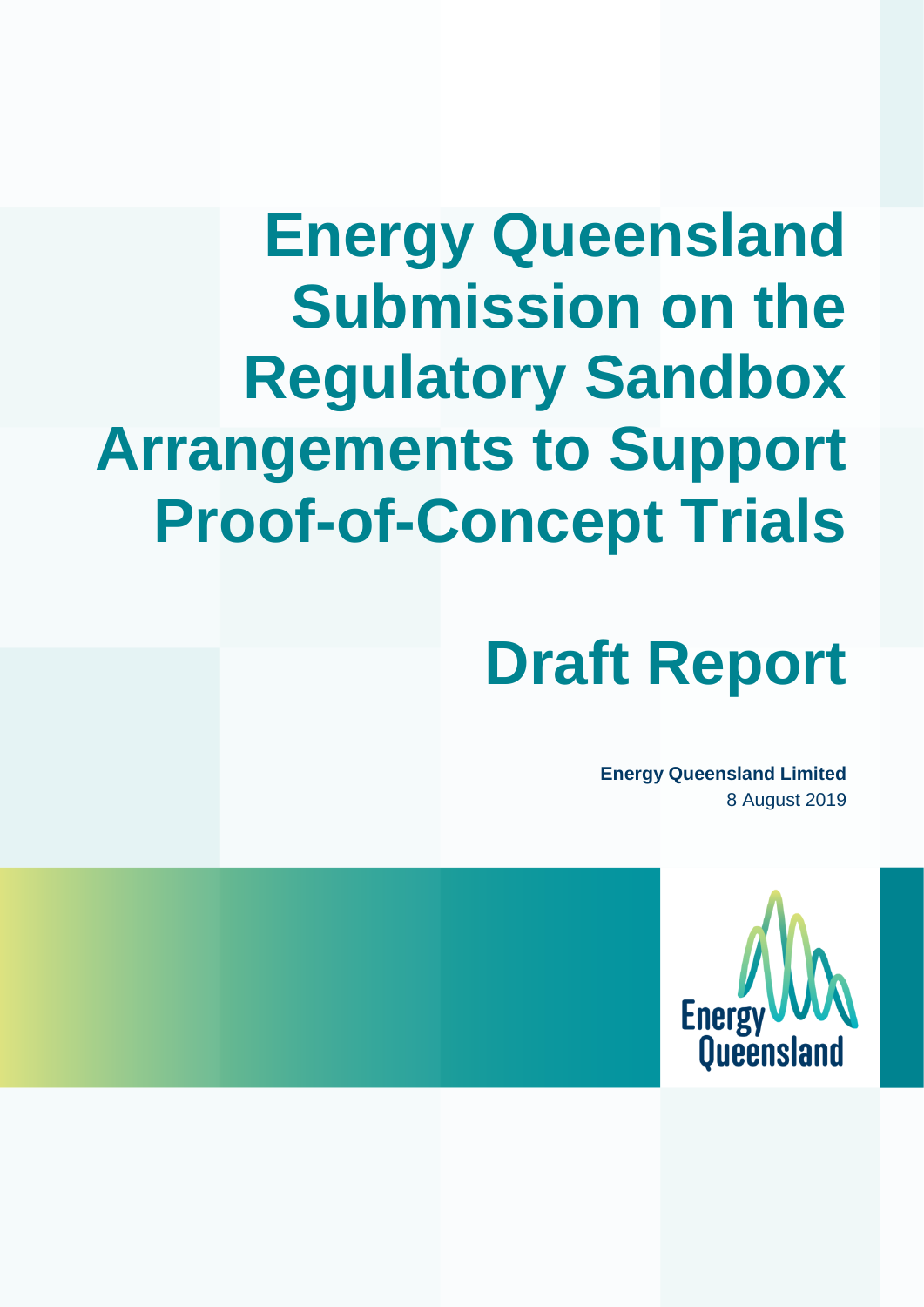# **Energy Queensland Submission on the Regulatory Sandbox Arrangements to Support Proof-of-Concept Trials**

# **Draft Report**

**Energy Queensland Limited** 8 August 2019

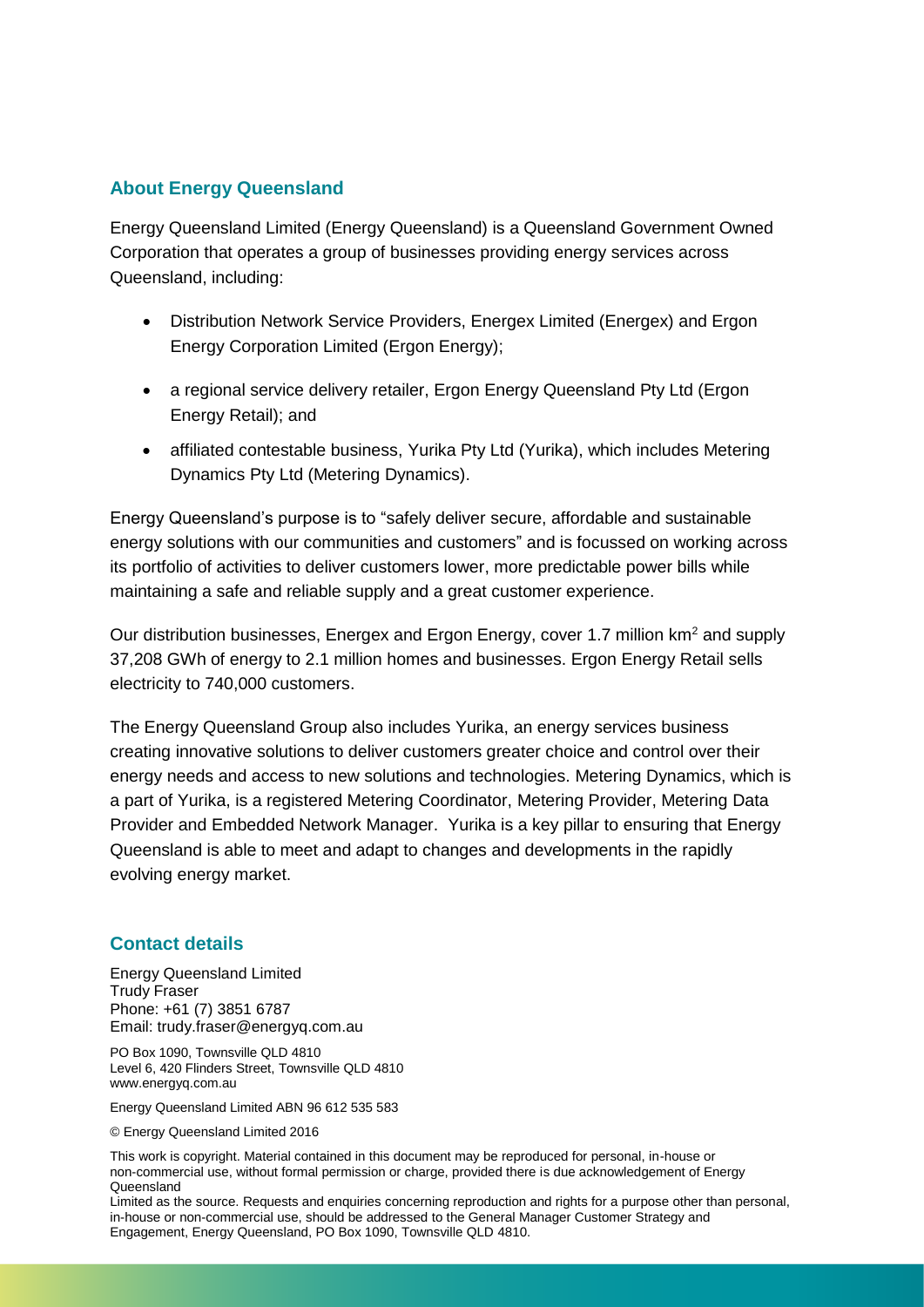#### **About Energy Queensland**

Energy Queensland Limited (Energy Queensland) is a Queensland Government Owned Corporation that operates a group of businesses providing energy services across Queensland, including:

- Distribution Network Service Providers, Energex Limited (Energex) and Ergon Energy Corporation Limited (Ergon Energy);
- a regional service delivery retailer, Ergon Energy Queensland Pty Ltd (Ergon Energy Retail); and
- affiliated contestable business, Yurika Pty Ltd (Yurika), which includes Metering Dynamics Pty Ltd (Metering Dynamics).

Energy Queensland's purpose is to "safely deliver secure, affordable and sustainable energy solutions with our communities and customers" and is focussed on working across its portfolio of activities to deliver customers lower, more predictable power bills while maintaining a safe and reliable supply and a great customer experience.

Our distribution businesses, Energex and Ergon Energy, cover 1.7 million km<sup>2</sup> and supply 37,208 GWh of energy to 2.1 million homes and businesses. Ergon Energy Retail sells electricity to 740,000 customers.

The Energy Queensland Group also includes Yurika, an energy services business creating innovative solutions to deliver customers greater choice and control over their energy needs and access to new solutions and technologies. Metering Dynamics, which is a part of Yurika, is a registered Metering Coordinator, Metering Provider, Metering Data Provider and Embedded Network Manager. Yurika is a key pillar to ensuring that Energy Queensland is able to meet and adapt to changes and developments in the rapidly evolving energy market.

#### **Contact details**

Energy Queensland Limited Trudy Fraser Phone: +61 (7) 3851 6787 Email: trudy.fraser@energyq.com.au

PO Box 1090, Townsville QLD 4810 Level 6, 420 Flinders Street, Townsville QLD 4810 www.energyq.com.au

Energy Queensland Limited ABN 96 612 535 583

© Energy Queensland Limited 2016

This work is copyright. Material contained in this document may be reproduced for personal, in-house or non-commercial use, without formal permission or charge, provided there is due acknowledgement of Energy **Queensland** 

Limited as the source. Requests and enquiries concerning reproduction and rights for a purpose other than personal, in-house or non-commercial use, should be addressed to the General Manager Customer Strategy and Engagement, Energy Queensland, PO Box 1090, Townsville QLD 4810.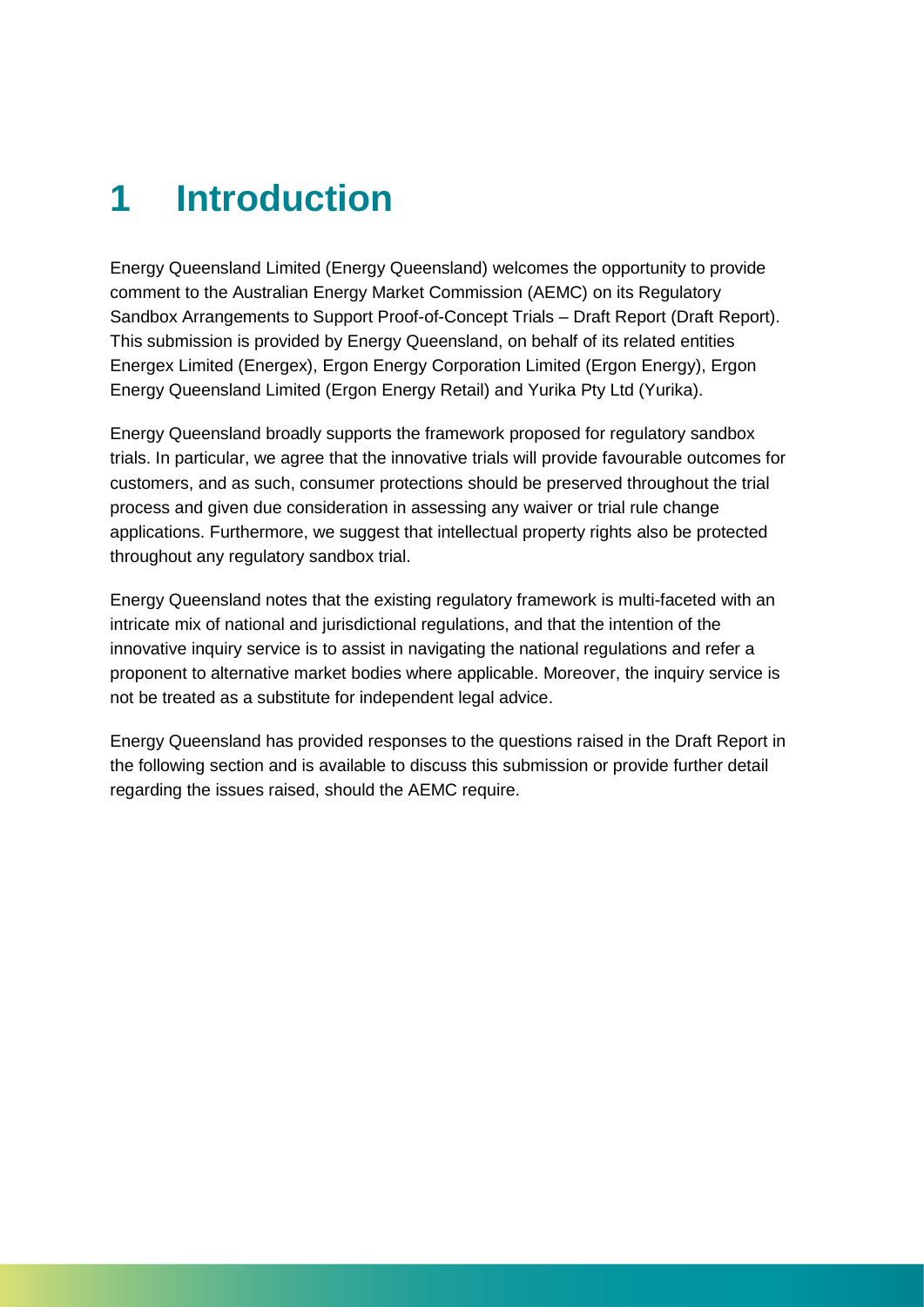### **1 Introduction**

Energy Queensland Limited (Energy Queensland) welcomes the opportunity to provide comment to the Australian Energy Market Commission (AEMC) on its Regulatory Sandbox Arrangements to Support Proof-of-Concept Trials – Draft Report (Draft Report). This submission is provided by Energy Queensland, on behalf of its related entities Energex Limited (Energex), Ergon Energy Corporation Limited (Ergon Energy), Ergon Energy Queensland Limited (Ergon Energy Retail) and Yurika Pty Ltd (Yurika).

Energy Queensland broadly supports the framework proposed for regulatory sandbox trials. In particular, we agree that the innovative trials will provide favourable outcomes for customers, and as such, consumer protections should be preserved throughout the trial process and given due consideration in assessing any waiver or trial rule change applications. Furthermore, we suggest that intellectual property rights also be protected throughout any regulatory sandbox trial.

Energy Queensland notes that the existing regulatory framework is multi-faceted with an intricate mix of national and jurisdictional regulations, and that the intention of the innovative inquiry service is to assist in navigating the national regulations and refer a proponent to alternative market bodies where applicable. Moreover, the inquiry service is not be treated as a substitute for independent legal advice.

Energy Queensland has provided responses to the questions raised in the Draft Report in the following section and is available to discuss this submission or provide further detail regarding the issues raised, should the AEMC require.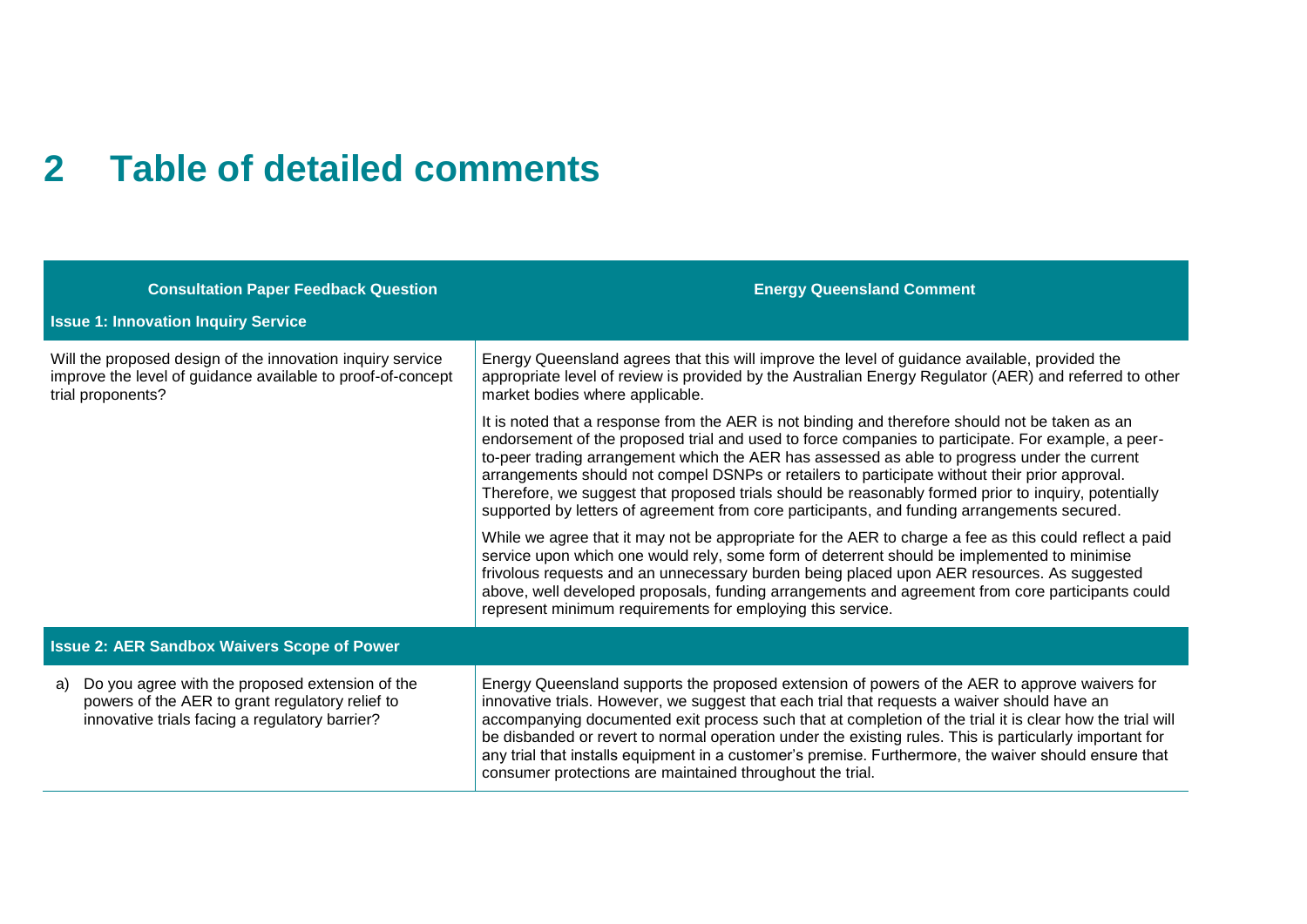### **2 Table of detailed comments**

| <b>Consultation Paper Feedback Question</b>                                                                                                                | <b>Energy Queensland Comment</b>                                                                                                                                                                                                                                                                                                                                                                                                                                                                                                                                                                               |  |  |  |
|------------------------------------------------------------------------------------------------------------------------------------------------------------|----------------------------------------------------------------------------------------------------------------------------------------------------------------------------------------------------------------------------------------------------------------------------------------------------------------------------------------------------------------------------------------------------------------------------------------------------------------------------------------------------------------------------------------------------------------------------------------------------------------|--|--|--|
| <b>Issue 1: Innovation Inquiry Service</b>                                                                                                                 |                                                                                                                                                                                                                                                                                                                                                                                                                                                                                                                                                                                                                |  |  |  |
| Will the proposed design of the innovation inquiry service<br>improve the level of guidance available to proof-of-concept<br>trial proponents?             | Energy Queensland agrees that this will improve the level of guidance available, provided the<br>appropriate level of review is provided by the Australian Energy Regulator (AER) and referred to other<br>market bodies where applicable.                                                                                                                                                                                                                                                                                                                                                                     |  |  |  |
|                                                                                                                                                            | It is noted that a response from the AER is not binding and therefore should not be taken as an<br>endorsement of the proposed trial and used to force companies to participate. For example, a peer-<br>to-peer trading arrangement which the AER has assessed as able to progress under the current<br>arrangements should not compel DSNPs or retailers to participate without their prior approval.<br>Therefore, we suggest that proposed trials should be reasonably formed prior to inquiry, potentially<br>supported by letters of agreement from core participants, and funding arrangements secured. |  |  |  |
|                                                                                                                                                            | While we agree that it may not be appropriate for the AER to charge a fee as this could reflect a paid<br>service upon which one would rely, some form of deterrent should be implemented to minimise<br>frivolous requests and an unnecessary burden being placed upon AER resources. As suggested<br>above, well developed proposals, funding arrangements and agreement from core participants could<br>represent minimum requirements for employing this service.                                                                                                                                          |  |  |  |
| <b>Issue 2: AER Sandbox Waivers Scope of Power</b>                                                                                                         |                                                                                                                                                                                                                                                                                                                                                                                                                                                                                                                                                                                                                |  |  |  |
| Do you agree with the proposed extension of the<br>a)<br>powers of the AER to grant regulatory relief to<br>innovative trials facing a regulatory barrier? | Energy Queensland supports the proposed extension of powers of the AER to approve waivers for<br>innovative trials. However, we suggest that each trial that requests a waiver should have an<br>accompanying documented exit process such that at completion of the trial it is clear how the trial will<br>be disbanded or revert to normal operation under the existing rules. This is particularly important for<br>any trial that installs equipment in a customer's premise. Furthermore, the waiver should ensure that<br>consumer protections are maintained throughout the trial.                     |  |  |  |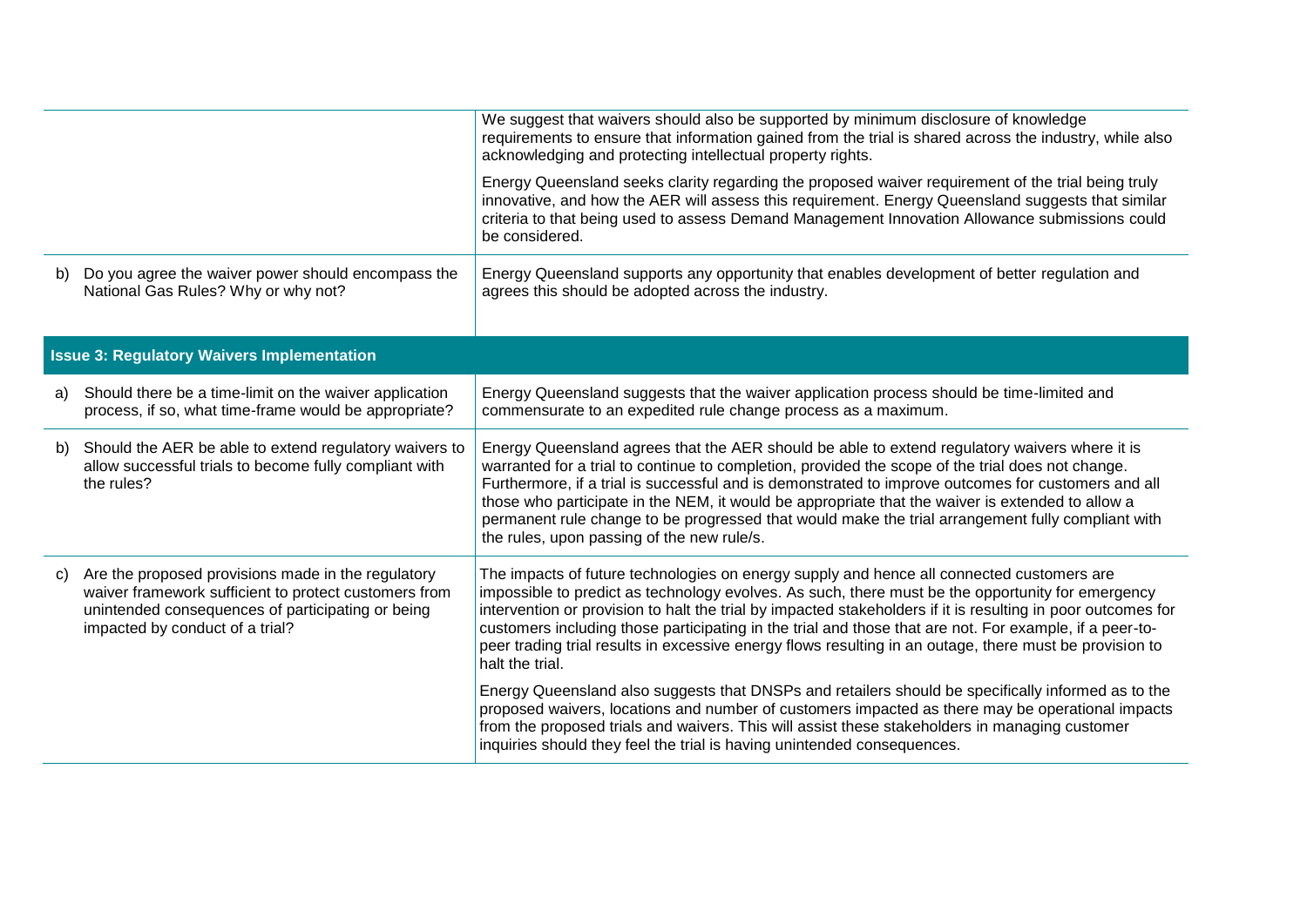|    | We suggest that waivers should also be supported by minimum disclosure of knowledge<br>requirements to ensure that information gained from the trial is shared across the industry, while also<br>acknowledging and protecting intellectual property rights. |                                                                                                                                                                                                                                                                                                                                                                                                                                                                                                                                                                  |
|----|--------------------------------------------------------------------------------------------------------------------------------------------------------------------------------------------------------------------------------------------------------------|------------------------------------------------------------------------------------------------------------------------------------------------------------------------------------------------------------------------------------------------------------------------------------------------------------------------------------------------------------------------------------------------------------------------------------------------------------------------------------------------------------------------------------------------------------------|
|    |                                                                                                                                                                                                                                                              | Energy Queensland seeks clarity regarding the proposed waiver requirement of the trial being truly<br>innovative, and how the AER will assess this requirement. Energy Queensland suggests that similar<br>criteria to that being used to assess Demand Management Innovation Allowance submissions could<br>be considered.                                                                                                                                                                                                                                      |
| b) | Do you agree the waiver power should encompass the<br>National Gas Rules? Why or why not?                                                                                                                                                                    | Energy Queensland supports any opportunity that enables development of better regulation and<br>agrees this should be adopted across the industry.                                                                                                                                                                                                                                                                                                                                                                                                               |
|    | <b>Issue 3: Regulatory Waivers Implementation</b>                                                                                                                                                                                                            |                                                                                                                                                                                                                                                                                                                                                                                                                                                                                                                                                                  |
| a) | Should there be a time-limit on the waiver application<br>process, if so, what time-frame would be appropriate?                                                                                                                                              | Energy Queensland suggests that the waiver application process should be time-limited and<br>commensurate to an expedited rule change process as a maximum.                                                                                                                                                                                                                                                                                                                                                                                                      |
| b) | Should the AER be able to extend regulatory waivers to<br>allow successful trials to become fully compliant with<br>the rules?                                                                                                                               | Energy Queensland agrees that the AER should be able to extend regulatory waivers where it is<br>warranted for a trial to continue to completion, provided the scope of the trial does not change.<br>Furthermore, if a trial is successful and is demonstrated to improve outcomes for customers and all<br>those who participate in the NEM, it would be appropriate that the waiver is extended to allow a<br>permanent rule change to be progressed that would make the trial arrangement fully compliant with<br>the rules, upon passing of the new rule/s. |
| C) | Are the proposed provisions made in the regulatory<br>waiver framework sufficient to protect customers from<br>unintended consequences of participating or being<br>impacted by conduct of a trial?                                                          | The impacts of future technologies on energy supply and hence all connected customers are<br>impossible to predict as technology evolves. As such, there must be the opportunity for emergency<br>intervention or provision to halt the trial by impacted stakeholders if it is resulting in poor outcomes for<br>customers including those participating in the trial and those that are not. For example, if a peer-to-<br>peer trading trial results in excessive energy flows resulting in an outage, there must be provision to<br>halt the trial.          |
|    |                                                                                                                                                                                                                                                              | Energy Queensland also suggests that DNSPs and retailers should be specifically informed as to the<br>proposed waivers, locations and number of customers impacted as there may be operational impacts<br>from the proposed trials and waivers. This will assist these stakeholders in managing customer<br>inquiries should they feel the trial is having unintended consequences.                                                                                                                                                                              |
|    |                                                                                                                                                                                                                                                              |                                                                                                                                                                                                                                                                                                                                                                                                                                                                                                                                                                  |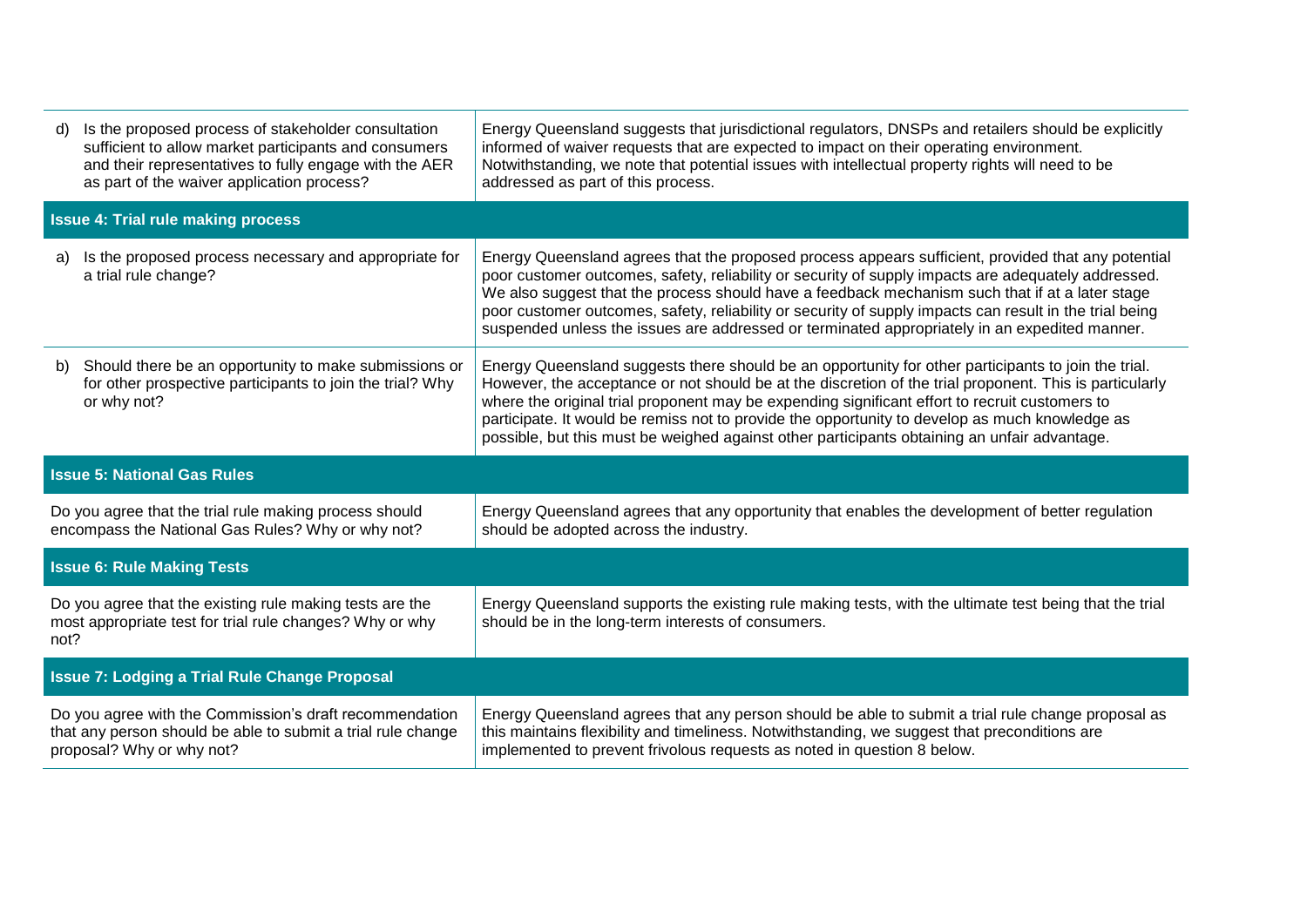| d)                                                                                                                                                   | Is the proposed process of stakeholder consultation<br>sufficient to allow market participants and consumers<br>and their representatives to fully engage with the AER<br>as part of the waiver application process? | Energy Queensland suggests that jurisdictional regulators, DNSPs and retailers should be explicitly<br>informed of waiver requests that are expected to impact on their operating environment.<br>Notwithstanding, we note that potential issues with intellectual property rights will need to be<br>addressed as part of this process.                                                                                                                                                                                 |  |  |
|------------------------------------------------------------------------------------------------------------------------------------------------------|----------------------------------------------------------------------------------------------------------------------------------------------------------------------------------------------------------------------|--------------------------------------------------------------------------------------------------------------------------------------------------------------------------------------------------------------------------------------------------------------------------------------------------------------------------------------------------------------------------------------------------------------------------------------------------------------------------------------------------------------------------|--|--|
|                                                                                                                                                      | <b>Issue 4: Trial rule making process</b>                                                                                                                                                                            |                                                                                                                                                                                                                                                                                                                                                                                                                                                                                                                          |  |  |
| a)                                                                                                                                                   | Is the proposed process necessary and appropriate for<br>a trial rule change?                                                                                                                                        | Energy Queensland agrees that the proposed process appears sufficient, provided that any potential<br>poor customer outcomes, safety, reliability or security of supply impacts are adequately addressed.<br>We also suggest that the process should have a feedback mechanism such that if at a later stage<br>poor customer outcomes, safety, reliability or security of supply impacts can result in the trial being<br>suspended unless the issues are addressed or terminated appropriately in an expedited manner. |  |  |
| b)                                                                                                                                                   | Should there be an opportunity to make submissions or<br>for other prospective participants to join the trial? Why<br>or why not?                                                                                    | Energy Queensland suggests there should be an opportunity for other participants to join the trial.<br>However, the acceptance or not should be at the discretion of the trial proponent. This is particularly<br>where the original trial proponent may be expending significant effort to recruit customers to<br>participate. It would be remiss not to provide the opportunity to develop as much knowledge as<br>possible, but this must be weighed against other participants obtaining an unfair advantage.       |  |  |
| <b>Issue 5: National Gas Rules</b>                                                                                                                   |                                                                                                                                                                                                                      |                                                                                                                                                                                                                                                                                                                                                                                                                                                                                                                          |  |  |
| Do you agree that the trial rule making process should<br>encompass the National Gas Rules? Why or why not?                                          |                                                                                                                                                                                                                      | Energy Queensland agrees that any opportunity that enables the development of better regulation<br>should be adopted across the industry.                                                                                                                                                                                                                                                                                                                                                                                |  |  |
| <b>Issue 6: Rule Making Tests</b>                                                                                                                    |                                                                                                                                                                                                                      |                                                                                                                                                                                                                                                                                                                                                                                                                                                                                                                          |  |  |
| Do you agree that the existing rule making tests are the<br>most appropriate test for trial rule changes? Why or why<br>not?                         |                                                                                                                                                                                                                      | Energy Queensland supports the existing rule making tests, with the ultimate test being that the trial<br>should be in the long-term interests of consumers.                                                                                                                                                                                                                                                                                                                                                             |  |  |
|                                                                                                                                                      | <b>Issue 7: Lodging a Trial Rule Change Proposal</b>                                                                                                                                                                 |                                                                                                                                                                                                                                                                                                                                                                                                                                                                                                                          |  |  |
| Do you agree with the Commission's draft recommendation<br>that any person should be able to submit a trial rule change<br>proposal? Why or why not? |                                                                                                                                                                                                                      | Energy Queensland agrees that any person should be able to submit a trial rule change proposal as<br>this maintains flexibility and timeliness. Notwithstanding, we suggest that preconditions are<br>implemented to prevent frivolous requests as noted in question 8 below.                                                                                                                                                                                                                                            |  |  |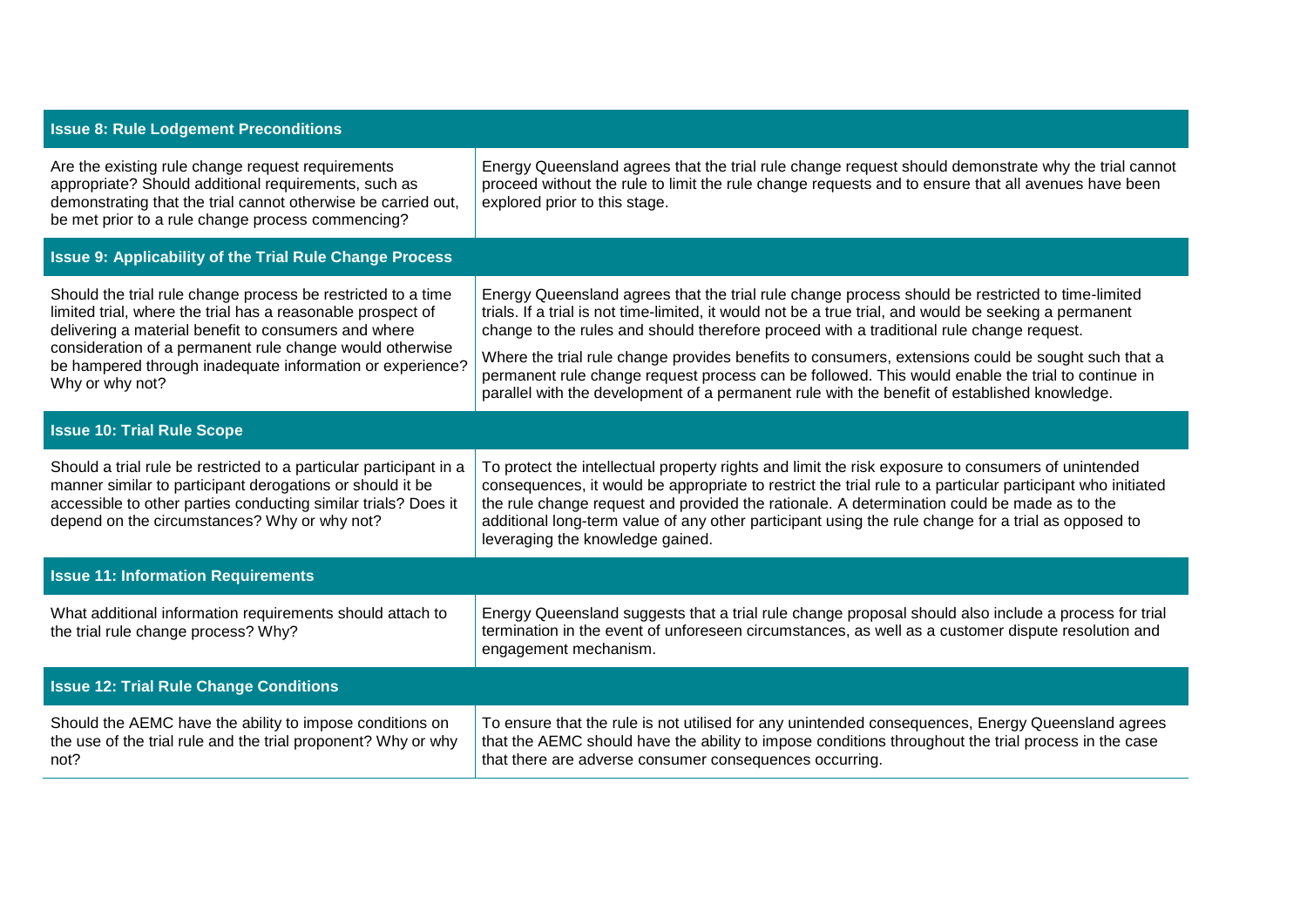| <b>Issue 8: Rule Lodgement Preconditions</b>                                                                                                                                                                                                                                                                                    |                                                                                                                                                                                                                                                                                                                                                                                                                                                                                                                                                                                                                   |  |  |  |
|---------------------------------------------------------------------------------------------------------------------------------------------------------------------------------------------------------------------------------------------------------------------------------------------------------------------------------|-------------------------------------------------------------------------------------------------------------------------------------------------------------------------------------------------------------------------------------------------------------------------------------------------------------------------------------------------------------------------------------------------------------------------------------------------------------------------------------------------------------------------------------------------------------------------------------------------------------------|--|--|--|
| Are the existing rule change request requirements<br>appropriate? Should additional requirements, such as<br>demonstrating that the trial cannot otherwise be carried out,<br>be met prior to a rule change process commencing?                                                                                                 | Energy Queensland agrees that the trial rule change request should demonstrate why the trial cannot<br>proceed without the rule to limit the rule change requests and to ensure that all avenues have been<br>explored prior to this stage.                                                                                                                                                                                                                                                                                                                                                                       |  |  |  |
| <b>Issue 9: Applicability of the Trial Rule Change Process</b>                                                                                                                                                                                                                                                                  |                                                                                                                                                                                                                                                                                                                                                                                                                                                                                                                                                                                                                   |  |  |  |
| Should the trial rule change process be restricted to a time<br>limited trial, where the trial has a reasonable prospect of<br>delivering a material benefit to consumers and where<br>consideration of a permanent rule change would otherwise<br>be hampered through inadequate information or experience?<br>Why or why not? | Energy Queensland agrees that the trial rule change process should be restricted to time-limited<br>trials. If a trial is not time-limited, it would not be a true trial, and would be seeking a permanent<br>change to the rules and should therefore proceed with a traditional rule change request.<br>Where the trial rule change provides benefits to consumers, extensions could be sought such that a<br>permanent rule change request process can be followed. This would enable the trial to continue in<br>parallel with the development of a permanent rule with the benefit of established knowledge. |  |  |  |
| <b>Issue 10: Trial Rule Scope</b>                                                                                                                                                                                                                                                                                               |                                                                                                                                                                                                                                                                                                                                                                                                                                                                                                                                                                                                                   |  |  |  |
| Should a trial rule be restricted to a particular participant in a<br>manner similar to participant derogations or should it be<br>accessible to other parties conducting similar trials? Does it<br>depend on the circumstances? Why or why not?                                                                               | To protect the intellectual property rights and limit the risk exposure to consumers of unintended<br>consequences, it would be appropriate to restrict the trial rule to a particular participant who initiated<br>the rule change request and provided the rationale. A determination could be made as to the<br>additional long-term value of any other participant using the rule change for a trial as opposed to<br>leveraging the knowledge gained.                                                                                                                                                        |  |  |  |
| <b>Issue 11: Information Requirements</b>                                                                                                                                                                                                                                                                                       |                                                                                                                                                                                                                                                                                                                                                                                                                                                                                                                                                                                                                   |  |  |  |
| What additional information requirements should attach to<br>the trial rule change process? Why?                                                                                                                                                                                                                                | Energy Queensland suggests that a trial rule change proposal should also include a process for trial<br>termination in the event of unforeseen circumstances, as well as a customer dispute resolution and<br>engagement mechanism.                                                                                                                                                                                                                                                                                                                                                                               |  |  |  |
| <b>Issue 12: Trial Rule Change Conditions</b>                                                                                                                                                                                                                                                                                   |                                                                                                                                                                                                                                                                                                                                                                                                                                                                                                                                                                                                                   |  |  |  |
| Should the AEMC have the ability to impose conditions on<br>the use of the trial rule and the trial proponent? Why or why<br>not?                                                                                                                                                                                               | To ensure that the rule is not utilised for any unintended consequences, Energy Queensland agrees<br>that the AEMC should have the ability to impose conditions throughout the trial process in the case<br>that there are adverse consumer consequences occurring.                                                                                                                                                                                                                                                                                                                                               |  |  |  |